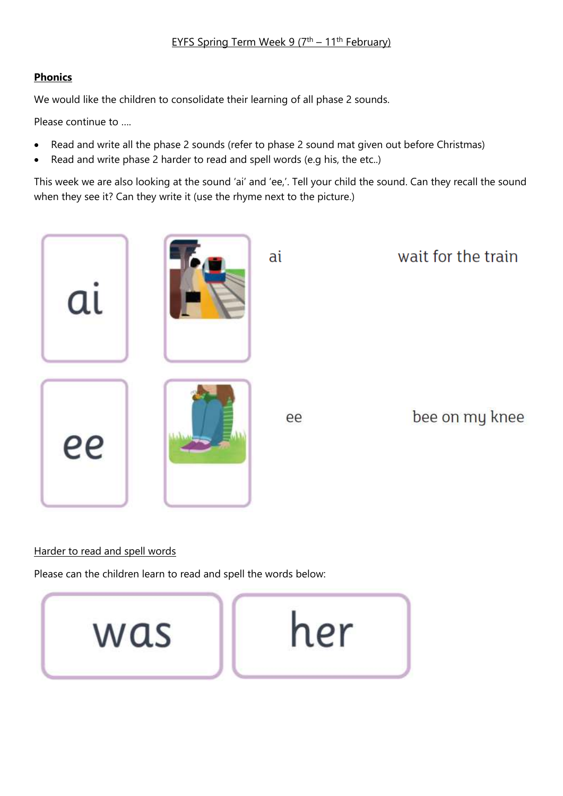## EYFS Spring Term Week 9 (7<sup>th</sup> – 11<sup>th</sup> February)

### **Phonics**

We would like the children to consolidate their learning of all phase 2 sounds.

Please continue to ….

- Read and write all the phase 2 sounds (refer to phase 2 sound mat given out before Christmas)
- Read and write phase 2 harder to read and spell words (e.g his, the etc..)

This week we are also looking at the sound 'ai' and 'ee,'. Tell your child the sound. Can they recall the sound when they see it? Can they write it (use the rhyme next to the picture.)



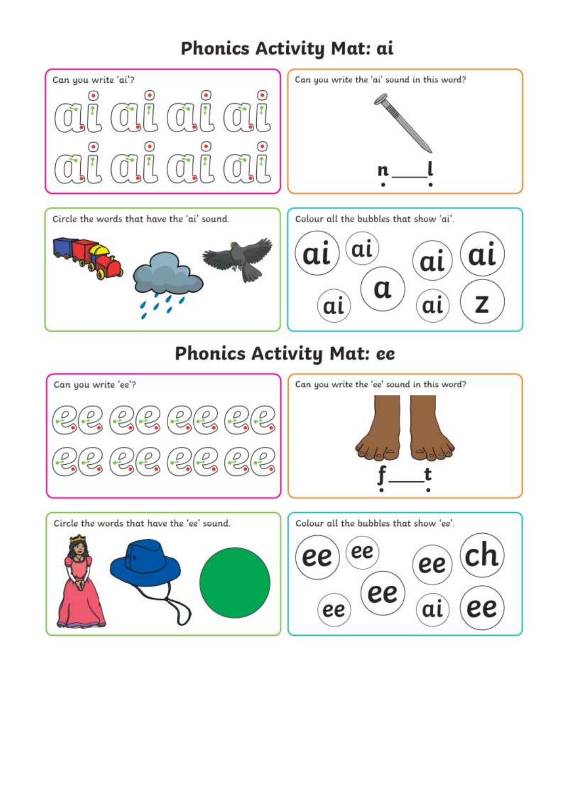# Phonics Activity Mat: ai



# **Phonics Activity Mat: ee**

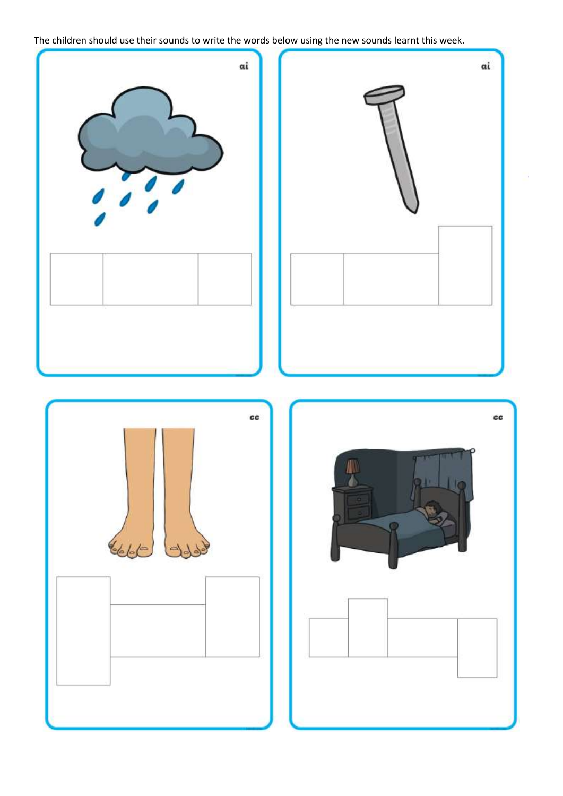The children should use their sounds to write the words below using the new sounds learnt this week.

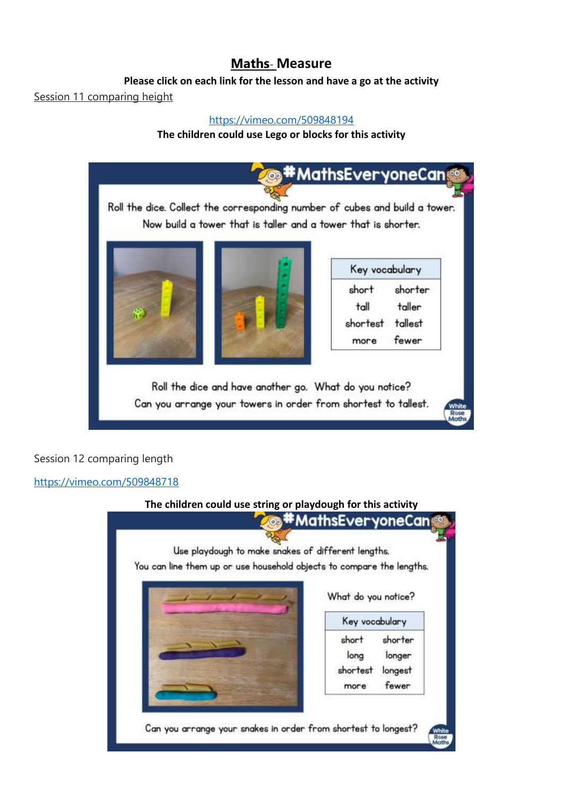# **Maths**- **Measure**

### **Please click on each link for the lesson and have a go at the activity**

### Session 11 comparing height

### <https://vimeo.com/509848194>

### **The children could use Lego or blocks for this activity**



# Session 12 comparing length

#### <https://vimeo.com/509848718>

# **The children could use string or playdough for this activity**

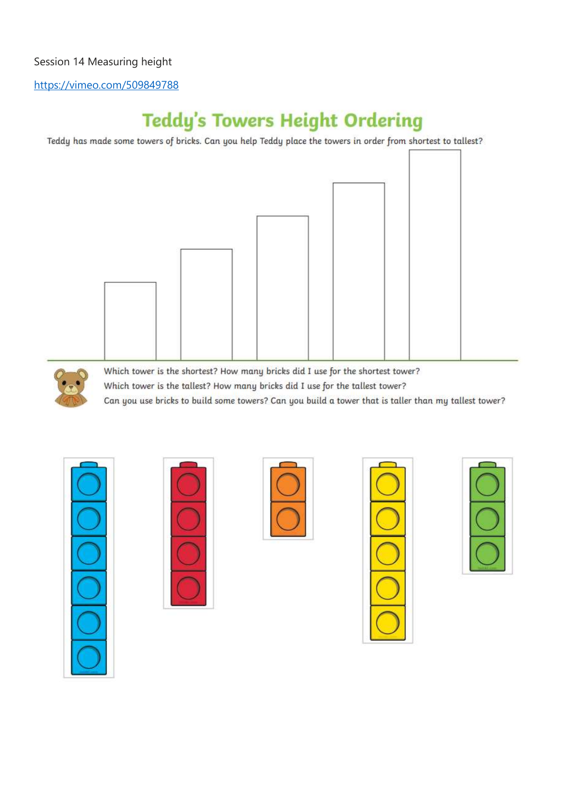# Session 14 Measuring height

<https://vimeo.com/509849788>

# **Teddy's Towers Height Ordering**

Teddy has made some towers of bricks. Can you help Teddy place the towers in order from shortest to tallest?





Which tower is the shortest? How many bricks did I use for the shortest tower? Which tower is the tallest? How many bricks did I use for the tallest tower? Can you use bricks to build some towers? Can you build a tower that is taller than my tallest tower?









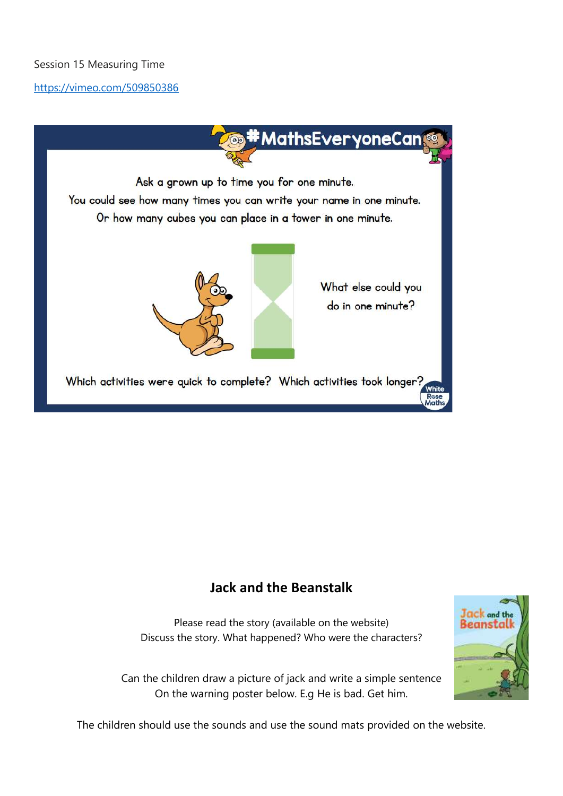# Session 15 Measuring Time

### <https://vimeo.com/509850386>



# **Jack and the Beanstalk**

Please read the story (available on the website) Discuss the story. What happened? Who were the characters?

Can the children draw a picture of jack and write a simple sentence On the warning poster below. E.g He is bad. Get him.



The children should use the sounds and use the sound mats provided on the website.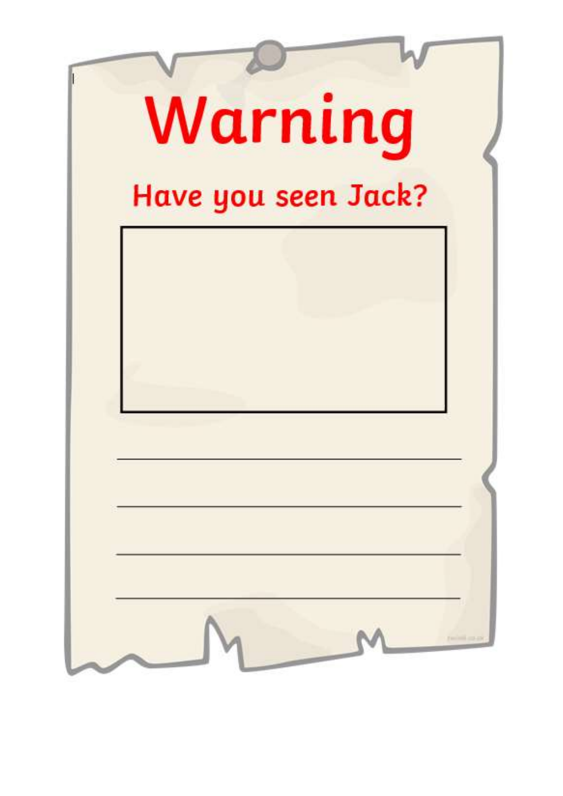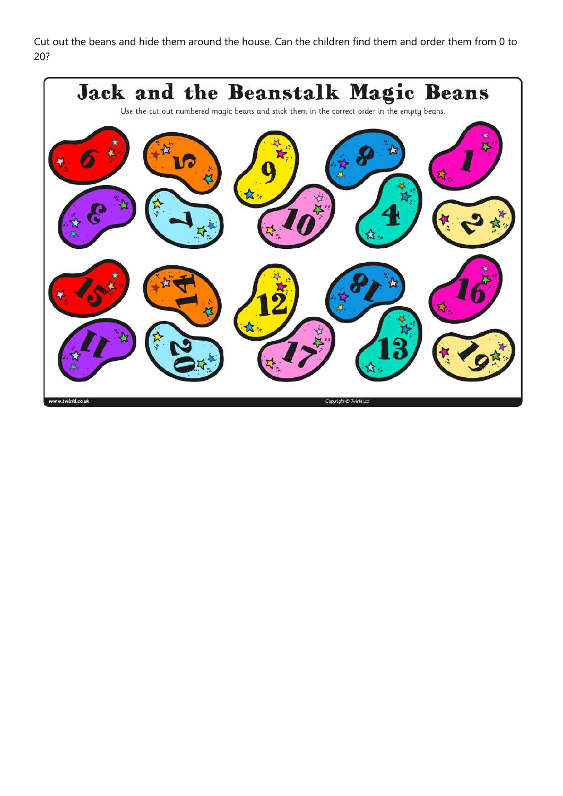Cut out the beans and hide them around the house. Can the children find them and order them from 0 to 20?